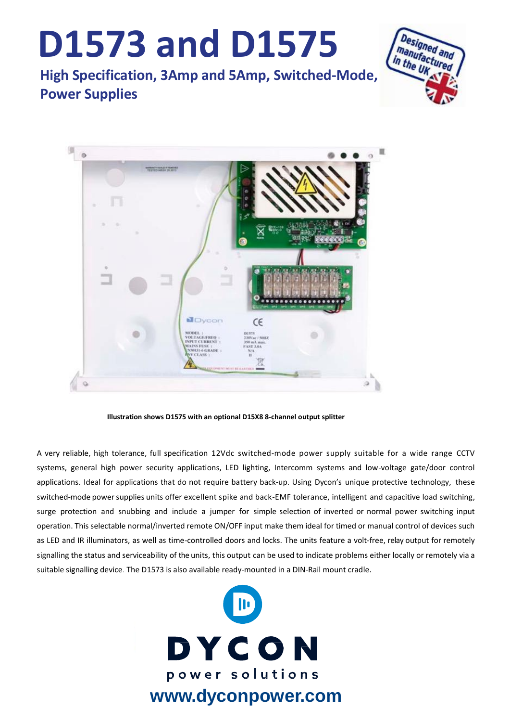## **D1573 and D1575**

**High Specification, 3Amp and 5Amp, Switched-Mode, Power Supplies**





**Illustration shows D1575 with an optional D15X8 8-channel output splitter** 

A very reliable, high tolerance, full specification 12Vdc switched-mode power supply suitable for a wide range CCTV systems, general high power security applications, LED lighting, Intercomm systems and low-voltage gate/door control applications. Ideal for applications that do not require battery back-up. Using Dycon's unique protective technology, these switched-mode powersupplies units offer excellent spike and back-EMF tolerance, intelligent and capacitive load switching, surge protection and snubbing and include a jumper for simple selection of inverted or normal power switching input operation. This selectable normal/inverted remote ON/OFF input make them ideal for timed or manual control of devices such as LED and IR illuminators, as well as time-controlled doors and locks. The units feature a volt-free, relay output for remotely signalling the status and serviceability of the units, this output can be used to indicate problems either locally or remotely via a suitable signalling device. The D1573 is also available ready-mounted in a DIN-Rail mount cradle.